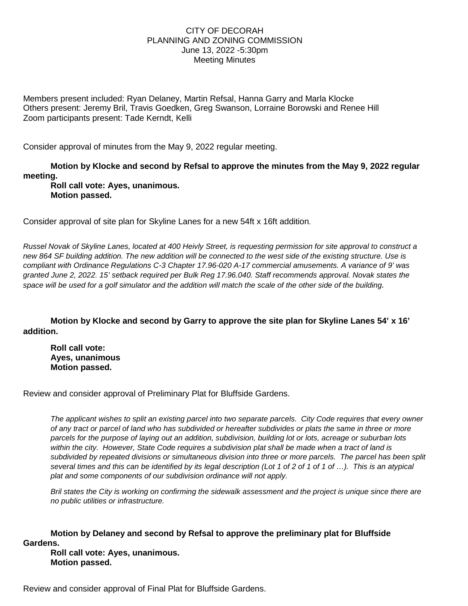## CITY OF DECORAH PLANNING AND ZONING COMMISSION June 13, 2022 -5:30pm Meeting Minutes

Members present included: Ryan Delaney, Martin Refsal, Hanna Garry and Marla Klocke Others present: Jeremy Bril, Travis Goedken, Greg Swanson, Lorraine Borowski and Renee Hill Zoom participants present: Tade Kerndt, Kelli

Consider approval of minutes from the May 9, 2022 regular meeting.

**Motion by Klocke and second by Refsal to approve the minutes from the May 9, 2022 regular meeting.**

**Roll call vote: Ayes, unanimous. Motion passed.**

Consider approval of site plan for Skyline Lanes for a new 54ft x 16ft addition.

*Russel Novak of Skyline Lanes, located at 400 Heivly Street, is requesting permission for site approval to construct a new 864 SF building addition. The new addition will be connected to the west side of the existing structure. Use is compliant with Ordinance Regulations C-3 Chapter 17.96-020 A-17 commercial amusements. A variance of 9' was granted June 2, 2022. 15' setback required per Bulk Reg 17.96.040. Staff recommends approval. Novak states the space will be used for a golf simulator and the addition will match the scale of the other side of the building.*

**Motion by Klocke and second by Garry to approve the site plan for Skyline Lanes 54' x 16' addition.** 

**Roll call vote: Ayes, unanimous Motion passed.**

Review and consider approval of Preliminary Plat for Bluffside Gardens.

*The applicant wishes to split an existing parcel into two separate parcels. City Code requires that every owner of any tract or parcel of land who has subdivided or hereafter subdivides or plats the same in three or more parcels for the purpose of laying out an addition, subdivision, building lot or lots, acreage or suburban lots within the city. However, State Code requires a subdivision plat shall be made when a tract of land is subdivided by repeated divisions or simultaneous division into three or more parcels. The parcel has been split several times and this can be identified by its legal description (Lot 1 of 2 of 1 of 1 of …). This is an atypical plat and some components of our subdivision ordinance will not apply.*

*Bril states the City is working on confirming the sidewalk assessment and the project is unique since there are no public utilities or infrastructure.* 

**Motion by Delaney and second by Refsal to approve the preliminary plat for Bluffside Gardens.** 

**Roll call vote: Ayes, unanimous. Motion passed.**

Review and consider approval of Final Plat for Bluffside Gardens.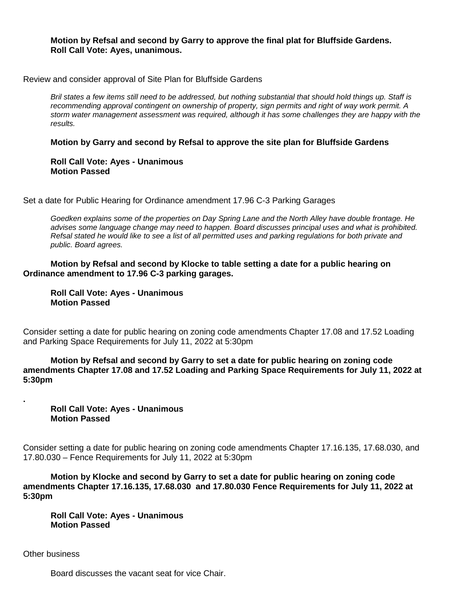## **Motion by Refsal and second by Garry to approve the final plat for Bluffside Gardens. Roll Call Vote: Ayes, unanimous.**

Review and consider approval of Site Plan for Bluffside Gardens

*Bril states a few items still need to be addressed, but nothing substantial that should hold things up. Staff is recommending approval contingent on ownership of property, sign permits and right of way work permit. A storm water management assessment was required, although it has some challenges they are happy with the results.*

**Motion by Garry and second by Refsal to approve the site plan for Bluffside Gardens**

**Roll Call Vote: Ayes - Unanimous Motion Passed**

Set a date for Public Hearing for Ordinance amendment 17.96 C-3 Parking Garages

*Goedken explains some of the properties on Day Spring Lane and the North Alley have double frontage. He advises some language change may need to happen. Board discusses principal uses and what is prohibited. Refsal stated he would like to see a list of all permitted uses and parking regulations for both private and public. Board agrees.*

**Motion by Refsal and second by Klocke to table setting a date for a public hearing on Ordinance amendment to 17.96 C-3 parking garages.**

**Roll Call Vote: Ayes - Unanimous Motion Passed**

Consider setting a date for public hearing on zoning code amendments Chapter 17.08 and 17.52 Loading and Parking Space Requirements for July 11, 2022 at 5:30pm

**Motion by Refsal and second by Garry to set a date for public hearing on zoning code amendments Chapter 17.08 and 17.52 Loading and Parking Space Requirements for July 11, 2022 at 5:30pm**

**Roll Call Vote: Ayes - Unanimous Motion Passed**

Consider setting a date for public hearing on zoning code amendments Chapter 17.16.135, 17.68.030, and 17.80.030 – Fence Requirements for July 11, 2022 at 5:30pm

**Motion by Klocke and second by Garry to set a date for public hearing on zoning code amendments Chapter 17.16.135, 17.68.030 and 17.80.030 Fence Requirements for July 11, 2022 at 5:30pm**

**Roll Call Vote: Ayes - Unanimous Motion Passed**

Other business

**.**

Board discusses the vacant seat for vice Chair.